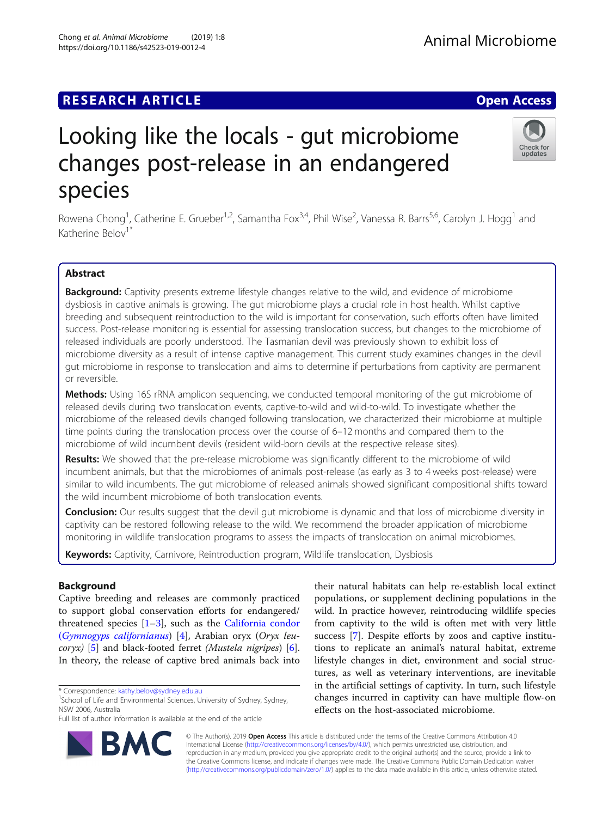## **RESEARCH ARTICLE Example 2018 12:30 THE Open Access**

# Looking like the locals - gut microbiome changes post-release in an endangered species

Rowena Chong<sup>1</sup>, Catherine E. Grueber<sup>1,2</sup>, Samantha Fox<sup>3,4</sup>, Phil Wise<sup>2</sup>, Vanessa R. Barrs<sup>5,6</sup>, Carolyn J. Hogg<sup>1</sup> and Katherine Belov<sup>1</sup>

## Abstract

Background: Captivity presents extreme lifestyle changes relative to the wild, and evidence of microbiome dysbiosis in captive animals is growing. The gut microbiome plays a crucial role in host health. Whilst captive breeding and subsequent reintroduction to the wild is important for conservation, such efforts often have limited success. Post-release monitoring is essential for assessing translocation success, but changes to the microbiome of released individuals are poorly understood. The Tasmanian devil was previously shown to exhibit loss of microbiome diversity as a result of intense captive management. This current study examines changes in the devil gut microbiome in response to translocation and aims to determine if perturbations from captivity are permanent or reversible.

**Methods:** Using 16S rRNA amplicon sequencing, we conducted temporal monitoring of the gut microbiome of released devils during two translocation events, captive-to-wild and wild-to-wild. To investigate whether the microbiome of the released devils changed following translocation, we characterized their microbiome at multiple time points during the translocation process over the course of 6–12 months and compared them to the microbiome of wild incumbent devils (resident wild-born devils at the respective release sites).

Results: We showed that the pre-release microbiome was significantly different to the microbiome of wild incumbent animals, but that the microbiomes of animals post-release (as early as 3 to 4 weeks post-release) were similar to wild incumbents. The gut microbiome of released animals showed significant compositional shifts toward the wild incumbent microbiome of both translocation events.

**Conclusion:** Our results suggest that the devil gut microbiome is dynamic and that loss of microbiome diversity in captivity can be restored following release to the wild. We recommend the broader application of microbiome monitoring in wildlife translocation programs to assess the impacts of translocation on animal microbiomes.

Keywords: Captivity, Carnivore, Reintroduction program, Wildlife translocation, Dysbiosis

## Background

Captive breeding and releases are commonly practiced to support global conservation efforts for endangered/ threatened species  $[1-3]$  $[1-3]$  $[1-3]$ , such as the [California condor](https://link.springer.com/chapter/10.1007/978-94-011-0721-1_23) ([Gymnogyps californianus](https://link.springer.com/chapter/10.1007/978-94-011-0721-1_23)) [\[4](#page-8-0)], Arabian oryx (Oryx leucoryx) [\[5\]](#page-8-0) and black-footed ferret (Mustela nigripes) [\[6](#page-8-0)]. In theory, the release of captive bred animals back into

\* Correspondence: [kathy.belov@sydney.edu.au](mailto:kathy.belov@sydney.edu.au) <sup>1</sup>

<sup>1</sup>School of Life and Environmental Sciences, University of Sydney, Sydney, NSW 2006, Australia

populations, or supplement declining populations in the wild. In practice however, reintroducing wildlife species from captivity to the wild is often met with very little success [[7\]](#page-8-0). Despite efforts by zoos and captive institutions to replicate an animal's natural habitat, extreme lifestyle changes in diet, environment and social structures, as well as veterinary interventions, are inevitable in the artificial settings of captivity. In turn, such lifestyle changes incurred in captivity can have multiple flow-on effects on the host-associated microbiome.

their natural habitats can help re-establish local extinct

© The Author(s). 2019 **Open Access** This article is distributed under the terms of the Creative Commons Attribution 4.0 International License [\(http://creativecommons.org/licenses/by/4.0/](http://creativecommons.org/licenses/by/4.0/)), which permits unrestricted use, distribution, and reproduction in any medium, provided you give appropriate credit to the original author(s) and the source, provide a link to the Creative Commons license, and indicate if changes were made. The Creative Commons Public Domain Dedication waiver [\(http://creativecommons.org/publicdomain/zero/1.0/](http://creativecommons.org/publicdomain/zero/1.0/)) applies to the data made available in this article, unless otherwise stated.





Full list of author information is available at the end of the article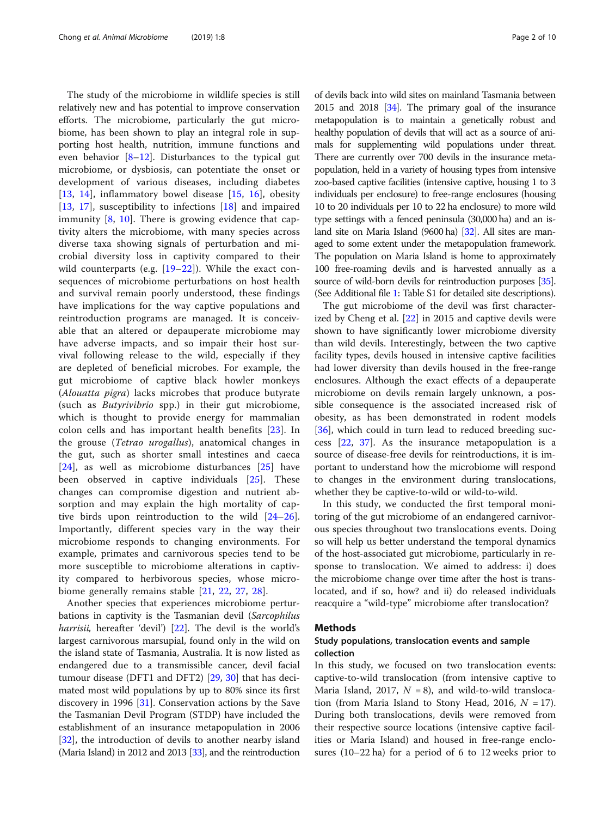The study of the microbiome in wildlife species is still relatively new and has potential to improve conservation efforts. The microbiome, particularly the gut microbiome, has been shown to play an integral role in supporting host health, nutrition, immune functions and even behavior [\[8](#page-8-0)–[12\]](#page-8-0). Disturbances to the typical gut microbiome, or dysbiosis, can potentiate the onset or development of various diseases, including diabetes [[13,](#page-8-0) [14\]](#page-8-0), inflammatory bowel disease [\[15](#page-8-0), [16](#page-8-0)], obesity [[13,](#page-8-0) [17\]](#page-8-0), susceptibility to infections [\[18](#page-8-0)] and impaired immunity [\[8](#page-8-0), [10\]](#page-8-0). There is growing evidence that captivity alters the microbiome, with many species across diverse taxa showing signals of perturbation and microbial diversity loss in captivity compared to their wild counterparts (e.g.  $[19-22]$  $[19-22]$  $[19-22]$  $[19-22]$ ). While the exact consequences of microbiome perturbations on host health and survival remain poorly understood, these findings have implications for the way captive populations and reintroduction programs are managed. It is conceivable that an altered or depauperate microbiome may have adverse impacts, and so impair their host survival following release to the wild, especially if they are depleted of beneficial microbes. For example, the gut microbiome of captive black howler monkeys (Alouatta pigra) lacks microbes that produce butyrate (such as Butyrivibrio spp.) in their gut microbiome, which is thought to provide energy for mammalian colon cells and has important health benefits [[23\]](#page-8-0). In the grouse (Tetrao urogallus), anatomical changes in the gut, such as shorter small intestines and caeca [[24\]](#page-8-0), as well as microbiome disturbances [\[25](#page-8-0)] have been observed in captive individuals [[25\]](#page-8-0). These changes can compromise digestion and nutrient absorption and may explain the high mortality of captive birds upon reintroduction to the wild [\[24](#page-8-0)–[26](#page-8-0)]. Importantly, different species vary in the way their microbiome responds to changing environments. For example, primates and carnivorous species tend to be more susceptible to microbiome alterations in captivity compared to herbivorous species, whose microbiome generally remains stable [[21,](#page-8-0) [22,](#page-8-0) [27](#page-8-0), [28](#page-8-0)].

Another species that experiences microbiome perturbations in captivity is the Tasmanian devil (Sarcophilus harrisii, hereafter 'devil') [[22](#page-8-0)]. The devil is the world's largest carnivorous marsupial, found only in the wild on the island state of Tasmania, Australia. It is now listed as endangered due to a transmissible cancer, devil facial tumour disease (DFT1 and DFT2) [[29](#page-8-0), [30](#page-8-0)] that has decimated most wild populations by up to 80% since its first discovery in 1996 [\[31](#page-9-0)]. Conservation actions by the Save the Tasmanian Devil Program (STDP) have included the establishment of an insurance metapopulation in 2006 [[32\]](#page-9-0), the introduction of devils to another nearby island (Maria Island) in 2012 and 2013 [\[33\]](#page-9-0), and the reintroduction of devils back into wild sites on mainland Tasmania between 2015 and 2018 [\[34](#page-9-0)]. The primary goal of the insurance metapopulation is to maintain a genetically robust and healthy population of devils that will act as a source of animals for supplementing wild populations under threat. There are currently over 700 devils in the insurance metapopulation, held in a variety of housing types from intensive zoo-based captive facilities (intensive captive, housing 1 to 3 individuals per enclosure) to free-range enclosures (housing 10 to 20 individuals per 10 to 22 ha enclosure) to more wild type settings with a fenced peninsula (30,000 ha) and an island site on Maria Island (9600 ha) [\[32](#page-9-0)]. All sites are managed to some extent under the metapopulation framework. The population on Maria Island is home to approximately 100 free-roaming devils and is harvested annually as a source of wild-born devils for reintroduction purposes [\[35](#page-9-0)]. (See Additional file [1](#page-7-0): Table S1 for detailed site descriptions).

The gut microbiome of the devil was first characterized by Cheng et al. [[22\]](#page-8-0) in 2015 and captive devils were shown to have significantly lower microbiome diversity than wild devils. Interestingly, between the two captive facility types, devils housed in intensive captive facilities had lower diversity than devils housed in the free-range enclosures. Although the exact effects of a depauperate microbiome on devils remain largely unknown, a possible consequence is the associated increased risk of obesity, as has been demonstrated in rodent models [[36\]](#page-9-0), which could in turn lead to reduced breeding success [\[22](#page-8-0), [37](#page-9-0)]. As the insurance metapopulation is a source of disease-free devils for reintroductions, it is important to understand how the microbiome will respond to changes in the environment during translocations, whether they be captive-to-wild or wild-to-wild.

In this study, we conducted the first temporal monitoring of the gut microbiome of an endangered carnivorous species throughout two translocations events. Doing so will help us better understand the temporal dynamics of the host-associated gut microbiome, particularly in response to translocation. We aimed to address: i) does the microbiome change over time after the host is translocated, and if so, how? and ii) do released individuals reacquire a "wild-type" microbiome after translocation?

#### Methods

## Study populations, translocation events and sample collection

In this study, we focused on two translocation events: captive-to-wild translocation (from intensive captive to Maria Island, 2017,  $N = 8$ ), and wild-to-wild translocation (from Maria Island to Stony Head, 2016,  $N = 17$ ). During both translocations, devils were removed from their respective source locations (intensive captive facilities or Maria Island) and housed in free-range enclosures (10–22 ha) for a period of 6 to 12 weeks prior to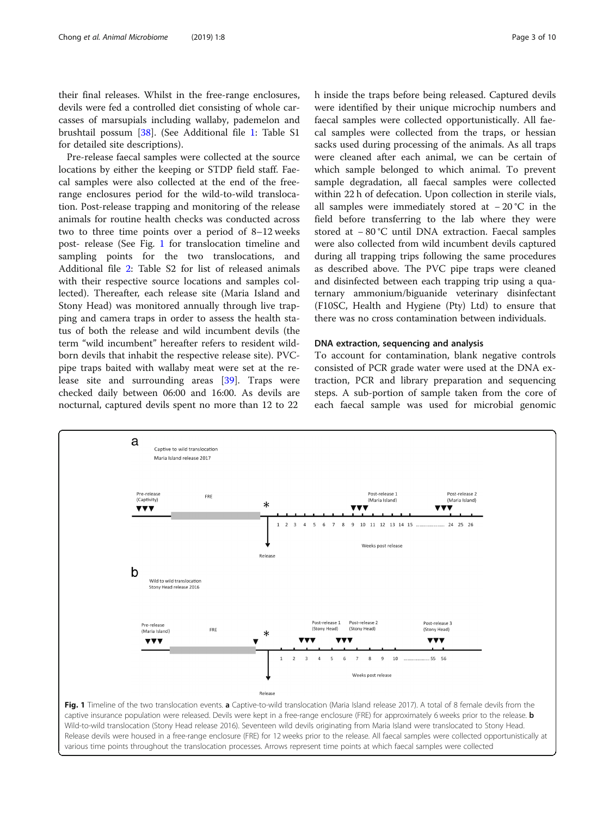their final releases. Whilst in the free-range enclosures, devils were fed a controlled diet consisting of whole carcasses of marsupials including wallaby, pademelon and brushtail possum [\[38](#page-9-0)]. (See Additional file [1](#page-7-0): Table S1 for detailed site descriptions).

Pre-release faecal samples were collected at the source locations by either the keeping or STDP field staff. Faecal samples were also collected at the end of the freerange enclosures period for the wild-to-wild translocation. Post-release trapping and monitoring of the release animals for routine health checks was conducted across two to three time points over a period of 8–12 weeks post- release (See Fig. 1 for translocation timeline and sampling points for the two translocations, and Additional file [2:](#page-7-0) Table S2 for list of released animals with their respective source locations and samples collected). Thereafter, each release site (Maria Island and Stony Head) was monitored annually through live trapping and camera traps in order to assess the health status of both the release and wild incumbent devils (the term "wild incumbent" hereafter refers to resident wildborn devils that inhabit the respective release site). PVCpipe traps baited with wallaby meat were set at the release site and surrounding areas [\[39](#page-9-0)]. Traps were checked daily between 06:00 and 16:00. As devils are nocturnal, captured devils spent no more than 12 to 22

h inside the traps before being released. Captured devils were identified by their unique microchip numbers and faecal samples were collected opportunistically. All faecal samples were collected from the traps, or hessian sacks used during processing of the animals. As all traps were cleaned after each animal, we can be certain of which sample belonged to which animal. To prevent sample degradation, all faecal samples were collected within 22 h of defecation. Upon collection in sterile vials, all samples were immediately stored at − 20 °C in the field before transferring to the lab where they were stored at − 80 °C until DNA extraction. Faecal samples were also collected from wild incumbent devils captured during all trapping trips following the same procedures as described above. The PVC pipe traps were cleaned and disinfected between each trapping trip using a quaternary ammonium/biguanide veterinary disinfectant (F10SC, Health and Hygiene (Pty) Ltd) to ensure that there was no cross contamination between individuals.

## DNA extraction, sequencing and analysis

To account for contamination, blank negative controls consisted of PCR grade water were used at the DNA extraction, PCR and library preparation and sequencing steps. A sub-portion of sample taken from the core of each faecal sample was used for microbial genomic

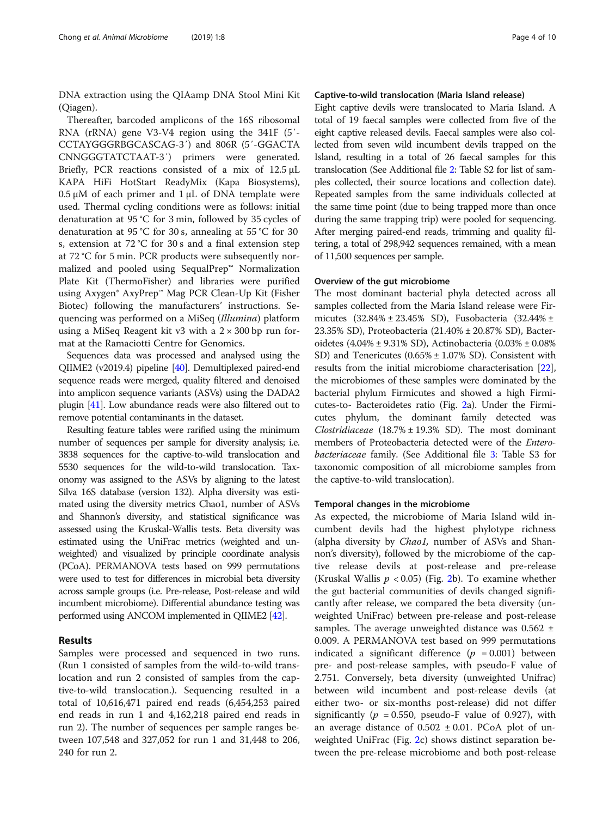DNA extraction using the QIAamp DNA Stool Mini Kit (Qiagen).

Thereafter, barcoded amplicons of the 16S ribosomal RNA (rRNA) gene V3-V4 region using the 341F (5′- CCTAYGGGRBGCASCAG-3′) and 806R (5′-GGACTA CNNGGGTATCTAAT-3′) primers were generated. Briefly, PCR reactions consisted of a mix of 12.5 μL KAPA HiFi HotStart ReadyMix (Kapa Biosystems),  $0.5 \mu$ M of each primer and  $1 \mu$ L of DNA template were used. Thermal cycling conditions were as follows: initial denaturation at 95 °C for 3 min, followed by 35 cycles of denaturation at 95 °C for 30 s, annealing at 55 °C for 30 s, extension at 72 °C for 30 s and a final extension step at 72 °C for 5 min. PCR products were subsequently normalized and pooled using SequalPrep™ Normalization Plate Kit (ThermoFisher) and libraries were purified using Axygen® AxyPrep™ Mag PCR Clean-Up Kit (Fisher Biotec) following the manufacturers' instructions. Sequencing was performed on a MiSeq (Illumina) platform using a MiSeq Reagent kit v3 with a  $2 \times 300$  bp run format at the Ramaciotti Centre for Genomics.

Sequences data was processed and analysed using the QIIME2 (v2019.4) pipeline [\[40\]](#page-9-0). Demultiplexed paired-end sequence reads were merged, quality filtered and denoised into amplicon sequence variants (ASVs) using the DADA2 plugin [[41](#page-9-0)]. Low abundance reads were also filtered out to remove potential contaminants in the dataset.

Resulting feature tables were rarified using the minimum number of sequences per sample for diversity analysis; i.e. 3838 sequences for the captive-to-wild translocation and 5530 sequences for the wild-to-wild translocation. Taxonomy was assigned to the ASVs by aligning to the latest Silva 16S database (version 132). Alpha diversity was estimated using the diversity metrics Chao1, number of ASVs and Shannon's diversity, and statistical significance was assessed using the Kruskal-Wallis tests. Beta diversity was estimated using the UniFrac metrics (weighted and unweighted) and visualized by principle coordinate analysis (PCoA). PERMANOVA tests based on 999 permutations were used to test for differences in microbial beta diversity across sample groups (i.e. Pre-release, Post-release and wild incumbent microbiome). Differential abundance testing was performed using ANCOM implemented in QIIME2 [\[42](#page-9-0)].

## Results

Samples were processed and sequenced in two runs. (Run 1 consisted of samples from the wild-to-wild translocation and run 2 consisted of samples from the captive-to-wild translocation.). Sequencing resulted in a total of 10,616,471 paired end reads (6,454,253 paired end reads in run 1 and 4,162,218 paired end reads in run 2). The number of sequences per sample ranges between 107,548 and 327,052 for run 1 and 31,448 to 206, 240 for run 2.

## Captive-to-wild translocation (Maria Island release)

Eight captive devils were translocated to Maria Island. A total of 19 faecal samples were collected from five of the eight captive released devils. Faecal samples were also collected from seven wild incumbent devils trapped on the Island, resulting in a total of 26 faecal samples for this translocation (See Additional file [2](#page-7-0): Table S2 for list of samples collected, their source locations and collection date). Repeated samples from the same individuals collected at the same time point (due to being trapped more than once during the same trapping trip) were pooled for sequencing. After merging paired-end reads, trimming and quality filtering, a total of 298,942 sequences remained, with a mean of 11,500 sequences per sample.

## Overview of the gut microbiome

The most dominant bacterial phyla detected across all samples collected from the Maria Island release were Firmicutes (32.84% ± 23.45% SD), Fusobacteria (32.44% ± 23.35% SD), Proteobacteria (21.40% ± 20.87% SD), Bacteroidetes (4.04% ± 9.31% SD), Actinobacteria (0.03% ± 0.08% SD) and Tenericutes (0.65% ± 1.07% SD). Consistent with results from the initial microbiome characterisation [[22](#page-8-0)], the microbiomes of these samples were dominated by the bacterial phylum Firmicutes and showed a high Firmicutes-to- Bacteroidetes ratio (Fig. [2](#page-4-0)a). Under the Firmicutes phylum, the dominant family detected was Clostridiaceae  $(18.7% \pm 19.3%$  SD). The most dominant members of Proteobacteria detected were of the Enterobacteriaceae family. (See Additional file [3:](#page-7-0) Table S3 for taxonomic composition of all microbiome samples from the captive-to-wild translocation).

#### Temporal changes in the microbiome

As expected, the microbiome of Maria Island wild incumbent devils had the highest phylotype richness (alpha diversity by Chao1, number of ASVs and Shannon's diversity), followed by the microbiome of the captive release devils at post-release and pre-release (Kruskal Wallis  $p < 0.05$ ) (Fig. [2](#page-4-0)b). To examine whether the gut bacterial communities of devils changed significantly after release, we compared the beta diversity (unweighted UniFrac) between pre-release and post-release samples. The average unweighted distance was  $0.562 \pm$ 0.009. A PERMANOVA test based on 999 permutations indicated a significant difference  $(p = 0.001)$  between pre- and post-release samples, with pseudo-F value of 2.751. Conversely, beta diversity (unweighted Unifrac) between wild incumbent and post-release devils (at either two- or six-months post-release) did not differ significantly ( $p = 0.550$ , pseudo-F value of 0.927), with an average distance of  $0.502 \pm 0.01$ . PCoA plot of unweighted UniFrac (Fig. [2c](#page-4-0)) shows distinct separation between the pre-release microbiome and both post-release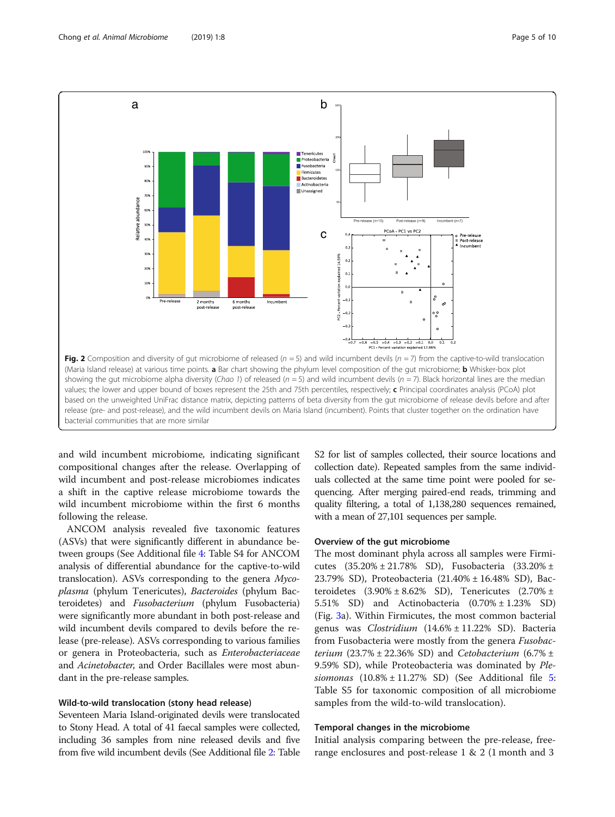<span id="page-4-0"></span>

and wild incumbent microbiome, indicating significant compositional changes after the release. Overlapping of wild incumbent and post-release microbiomes indicates a shift in the captive release microbiome towards the wild incumbent microbiome within the first 6 months following the release.

ANCOM analysis revealed five taxonomic features (ASVs) that were significantly different in abundance between groups (See Additional file [4](#page-7-0): Table S4 for ANCOM analysis of differential abundance for the captive-to-wild translocation). ASVs corresponding to the genera Mycoplasma (phylum Tenericutes), Bacteroides (phylum Bacteroidetes) and Fusobacterium (phylum Fusobacteria) were significantly more abundant in both post-release and wild incumbent devils compared to devils before the release (pre-release). ASVs corresponding to various families or genera in Proteobacteria, such as Enterobacteriaceae and Acinetobacter, and Order Bacillales were most abundant in the pre-release samples.

## Wild-to-wild translocation (stony head release)

Seventeen Maria Island-originated devils were translocated to Stony Head. A total of 41 faecal samples were collected, including 36 samples from nine released devils and five from five wild incumbent devils (See Additional file [2:](#page-7-0) Table S2 for list of samples collected, their source locations and collection date). Repeated samples from the same individuals collected at the same time point were pooled for sequencing. After merging paired-end reads, trimming and quality filtering, a total of 1,138,280 sequences remained, with a mean of 27,101 sequences per sample.

#### Overview of the gut microbiome

The most dominant phyla across all samples were Firmicutes  $(35.20\% \pm 21.78\% \text{ SD})$ , Fusobacteria  $(33.20\% \pm 1.78\% \text{ SD})$ 23.79% SD), Proteobacteria (21.40% ± 16.48% SD), Bacteroidetes  $(3.90\% \pm 8.62\% \text{ SD})$ , Tenericutes  $(2.70\% \pm$ 5.51% SD) and Actinobacteria (0.70% ± 1.23% SD) (Fig. [3a](#page-5-0)). Within Firmicutes, the most common bacterial genus was Clostridium (14.6% ± 11.22% SD). Bacteria from Fusobacteria were mostly from the genera Fusobacterium  $(23.7\% \pm 22.36\% \text{ SD})$  and Cetobacterium  $(6.7\% \pm 1.36\%)$ 9.59% SD), while Proteobacteria was dominated by Plesiomonas  $(10.8\% \pm 11.27\% \text{ SD})$  (See Additional file [5](#page-7-0): Table S5 for taxonomic composition of all microbiome samples from the wild-to-wild translocation).

### Temporal changes in the microbiome

Initial analysis comparing between the pre-release, freerange enclosures and post-release 1 & 2 (1 month and 3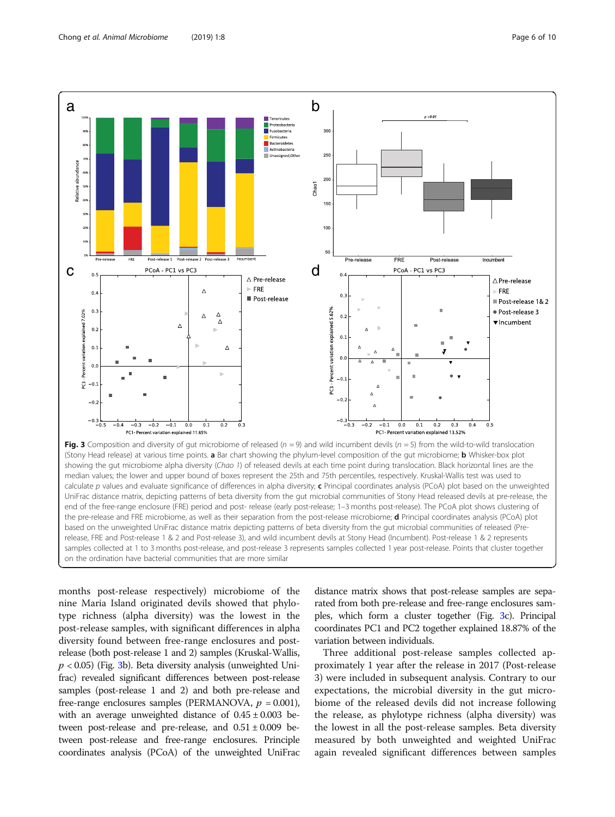

<span id="page-5-0"></span>

release, FRE and Post-release 1 & 2 and Post-release 3), and wild incumbent devils at Stony Head (Incumbent). Post-release 1 & 2 represents samples collected at 1 to 3 months post-release, and post-release 3 represents samples collected 1 year post-release. Points that cluster together on the ordination have bacterial communities that are more similar

months post-release respectively) microbiome of the nine Maria Island originated devils showed that phylotype richness (alpha diversity) was the lowest in the post-release samples, with significant differences in alpha diversity found between free-range enclosures and postrelease (both post-release 1 and 2) samples (Kruskal-Wallis,  $p < 0.05$ ) (Fig. 3b). Beta diversity analysis (unweighted Unifrac) revealed significant differences between post-release samples (post-release 1 and 2) and both pre-release and free-range enclosures samples (PERMANOVA,  $p = 0.001$ ), with an average unweighted distance of  $0.45 \pm 0.003$  between post-release and pre-release, and  $0.51 \pm 0.009$  between post-release and free-range enclosures. Principle coordinates analysis (PCoA) of the unweighted UniFrac

distance matrix shows that post-release samples are separated from both pre-release and free-range enclosures samples, which form a cluster together (Fig. 3c). Principal coordinates PC1 and PC2 together explained 18.87% of the variation between individuals.

Three additional post-release samples collected approximately 1 year after the release in 2017 (Post-release 3) were included in subsequent analysis. Contrary to our expectations, the microbial diversity in the gut microbiome of the released devils did not increase following the release, as phylotype richness (alpha diversity) was the lowest in all the post-release samples. Beta diversity measured by both unweighted and weighted UniFrac again revealed significant differences between samples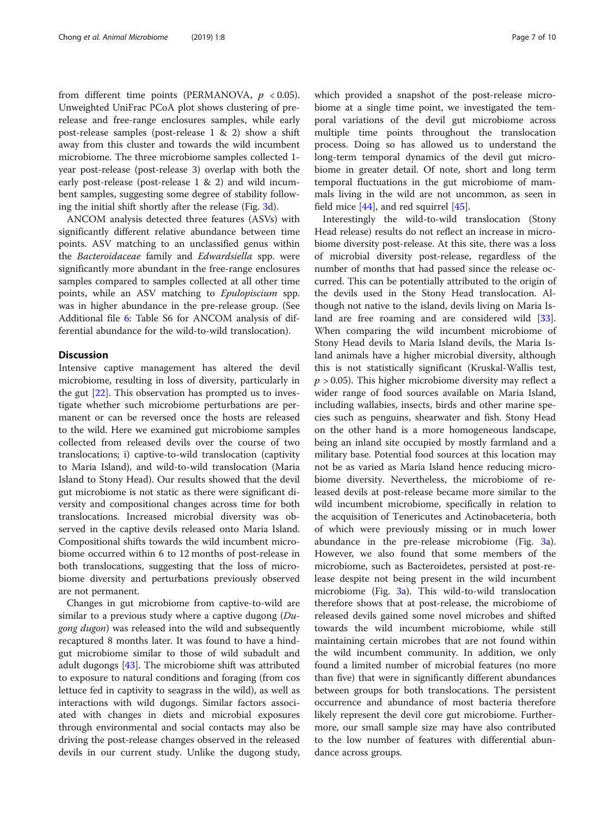from different time points (PERMANOVA,  $p < 0.05$ ). Unweighted UniFrac PCoA plot shows clustering of prerelease and free-range enclosures samples, while early post-release samples (post-release 1 & 2) show a shift away from this cluster and towards the wild incumbent microbiome. The three microbiome samples collected 1 year post-release (post-release 3) overlap with both the early post-release (post-release 1 & 2) and wild incumbent samples, suggesting some degree of stability following the initial shift shortly after the release (Fig. [3](#page-5-0)d).

ANCOM analysis detected three features (ASVs) with significantly different relative abundance between time points. ASV matching to an unclassified genus within the Bacteroidaceae family and Edwardsiella spp. were significantly more abundant in the free-range enclosures samples compared to samples collected at all other time points, while an ASV matching to Epulopiscium spp. was in higher abundance in the pre-release group. (See Additional file [6](#page-8-0): Table S6 for ANCOM analysis of differential abundance for the wild-to-wild translocation).

## **Discussion**

Intensive captive management has altered the devil microbiome, resulting in loss of diversity, particularly in the gut [\[22](#page-8-0)]. This observation has prompted us to investigate whether such microbiome perturbations are permanent or can be reversed once the hosts are released to the wild. Here we examined gut microbiome samples collected from released devils over the course of two translocations; i) captive-to-wild translocation (captivity to Maria Island), and wild-to-wild translocation (Maria Island to Stony Head). Our results showed that the devil gut microbiome is not static as there were significant diversity and compositional changes across time for both translocations. Increased microbial diversity was observed in the captive devils released onto Maria Island. Compositional shifts towards the wild incumbent microbiome occurred within 6 to 12 months of post-release in both translocations, suggesting that the loss of microbiome diversity and perturbations previously observed are not permanent.

Changes in gut microbiome from captive-to-wild are similar to a previous study where a captive dugong  $(Du$ *gong dugon*) was released into the wild and subsequently recaptured 8 months later. It was found to have a hindgut microbiome similar to those of wild subadult and adult dugongs [\[43\]](#page-9-0). The microbiome shift was attributed to exposure to natural conditions and foraging (from cos lettuce fed in captivity to seagrass in the wild), as well as interactions with wild dugongs. Similar factors associated with changes in diets and microbial exposures through environmental and social contacts may also be driving the post-release changes observed in the released devils in our current study. Unlike the dugong study, which provided a snapshot of the post-release microbiome at a single time point, we investigated the temporal variations of the devil gut microbiome across multiple time points throughout the translocation process. Doing so has allowed us to understand the long-term temporal dynamics of the devil gut microbiome in greater detail. Of note, short and long term temporal fluctuations in the gut microbiome of mammals living in the wild are not uncommon, as seen in field mice [[44\]](#page-9-0), and red squirrel [\[45](#page-9-0)].

Interestingly the wild-to-wild translocation (Stony Head release) results do not reflect an increase in microbiome diversity post-release. At this site, there was a loss of microbial diversity post-release, regardless of the number of months that had passed since the release occurred. This can be potentially attributed to the origin of the devils used in the Stony Head translocation. Although not native to the island, devils living on Maria Is-land are free roaming and are considered wild [\[33](#page-9-0)]. When comparing the wild incumbent microbiome of Stony Head devils to Maria Island devils, the Maria Island animals have a higher microbial diversity, although this is not statistically significant (Kruskal-Wallis test,  $p > 0.05$ ). This higher microbiome diversity may reflect a wider range of food sources available on Maria Island, including wallabies, insects, birds and other marine species such as penguins, shearwater and fish. Stony Head on the other hand is a more homogeneous landscape, being an inland site occupied by mostly farmland and a military base. Potential food sources at this location may not be as varied as Maria Island hence reducing microbiome diversity. Nevertheless, the microbiome of released devils at post-release became more similar to the wild incumbent microbiome, specifically in relation to the acquisition of Tenericutes and Actinobaceteria, both of which were previously missing or in much lower abundance in the pre-release microbiome (Fig. [3a](#page-5-0)). However, we also found that some members of the microbiome, such as Bacteroidetes, persisted at post-release despite not being present in the wild incumbent microbiome (Fig. [3](#page-5-0)a). This wild-to-wild translocation therefore shows that at post-release, the microbiome of released devils gained some novel microbes and shifted towards the wild incumbent microbiome, while still maintaining certain microbes that are not found within the wild incumbent community. In addition, we only found a limited number of microbial features (no more than five) that were in significantly different abundances between groups for both translocations. The persistent occurrence and abundance of most bacteria therefore likely represent the devil core gut microbiome. Furthermore, our small sample size may have also contributed to the low number of features with differential abundance across groups.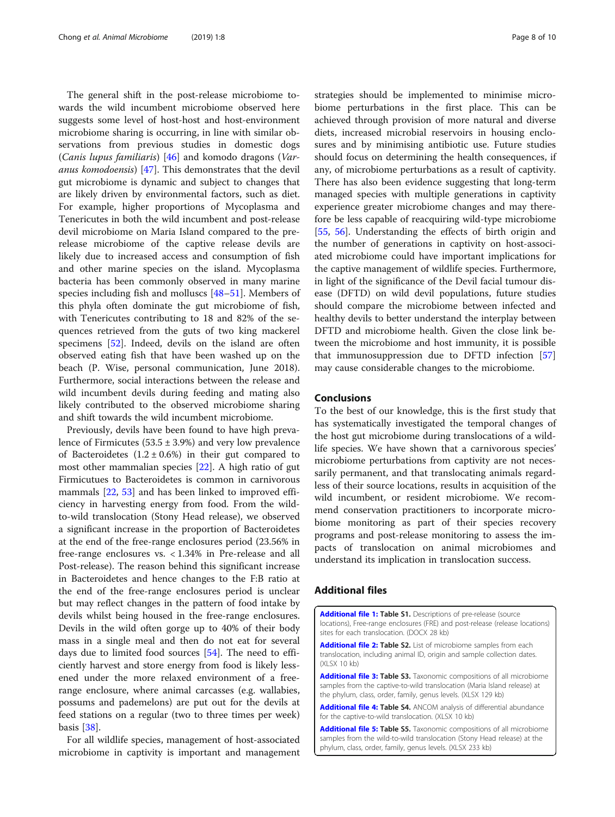<span id="page-7-0"></span>The general shift in the post-release microbiome towards the wild incumbent microbiome observed here suggests some level of host-host and host-environment microbiome sharing is occurring, in line with similar observations from previous studies in domestic dogs (Canis lupus familiaris) [\[46](#page-9-0)] and komodo dragons (Varanus komodoensis) [\[47](#page-9-0)]. This demonstrates that the devil gut microbiome is dynamic and subject to changes that are likely driven by environmental factors, such as diet. For example, higher proportions of Mycoplasma and Tenericutes in both the wild incumbent and post-release devil microbiome on Maria Island compared to the prerelease microbiome of the captive release devils are likely due to increased access and consumption of fish and other marine species on the island. Mycoplasma bacteria has been commonly observed in many marine species including fish and molluscs [\[48](#page-9-0)–[51\]](#page-9-0). Members of this phyla often dominate the gut microbiome of fish, with Tenericutes contributing to 18 and 82% of the sequences retrieved from the guts of two king mackerel specimens [\[52\]](#page-9-0). Indeed, devils on the island are often observed eating fish that have been washed up on the beach (P. Wise, personal communication, June 2018). Furthermore, social interactions between the release and wild incumbent devils during feeding and mating also likely contributed to the observed microbiome sharing and shift towards the wild incumbent microbiome.

Previously, devils have been found to have high prevalence of Firmicutes  $(53.5 \pm 3.9%)$  and very low prevalence of Bacteroidetes  $(1.2 \pm 0.6%)$  in their gut compared to most other mammalian species [[22\]](#page-8-0). A high ratio of gut Firmicutues to Bacteroidetes is common in carnivorous mammals [[22,](#page-8-0) [53\]](#page-9-0) and has been linked to improved efficiency in harvesting energy from food. From the wildto-wild translocation (Stony Head release), we observed a significant increase in the proportion of Bacteroidetes at the end of the free-range enclosures period (23.56% in free-range enclosures vs. < 1.34% in Pre-release and all Post-release). The reason behind this significant increase in Bacteroidetes and hence changes to the F:B ratio at the end of the free-range enclosures period is unclear but may reflect changes in the pattern of food intake by devils whilst being housed in the free-range enclosures. Devils in the wild often gorge up to 40% of their body mass in a single meal and then do not eat for several days due to limited food sources [\[54](#page-9-0)]. The need to efficiently harvest and store energy from food is likely lessened under the more relaxed environment of a freerange enclosure, where animal carcasses (e.g. wallabies, possums and pademelons) are put out for the devils at feed stations on a regular (two to three times per week) basis [[38](#page-9-0)].

For all wildlife species, management of host-associated microbiome in captivity is important and management strategies should be implemented to minimise microbiome perturbations in the first place. This can be achieved through provision of more natural and diverse diets, increased microbial reservoirs in housing enclosures and by minimising antibiotic use. Future studies should focus on determining the health consequences, if any, of microbiome perturbations as a result of captivity. There has also been evidence suggesting that long-term managed species with multiple generations in captivity experience greater microbiome changes and may therefore be less capable of reacquiring wild-type microbiome [[55,](#page-9-0) [56](#page-9-0)]. Understanding the effects of birth origin and the number of generations in captivity on host-associated microbiome could have important implications for the captive management of wildlife species. Furthermore, in light of the significance of the Devil facial tumour disease (DFTD) on wild devil populations, future studies should compare the microbiome between infected and healthy devils to better understand the interplay between DFTD and microbiome health. Given the close link between the microbiome and host immunity, it is possible that immunosuppression due to DFTD infection [[57](#page-9-0)] may cause considerable changes to the microbiome.

## Conclusions

To the best of our knowledge, this is the first study that has systematically investigated the temporal changes of the host gut microbiome during translocations of a wildlife species. We have shown that a carnivorous species' microbiome perturbations from captivity are not necessarily permanent, and that translocating animals regardless of their source locations, results in acquisition of the wild incumbent, or resident microbiome. We recommend conservation practitioners to incorporate microbiome monitoring as part of their species recovery programs and post-release monitoring to assess the impacts of translocation on animal microbiomes and understand its implication in translocation success.

## Additional files

[Additional file 1:](https://doi.org/10.1186/s42523-019-0012-4) Table S1. Descriptions of pre-release (source locations), Free-range enclosures (FRE) and post-release (release locations) sites for each translocation. (DOCX 28 kb)

[Additional file 2:](https://doi.org/10.1186/s42523-019-0012-4) Table S2. List of microbiome samples from each translocation, including animal ID, origin and sample collection dates. (XLSX 10 kb)

[Additional file 3:](https://doi.org/10.1186/s42523-019-0012-4) Table S3. Taxonomic compositions of all microbiome samples from the captive-to-wild translocation (Maria Island release) at the phylum, class, order, family, genus levels. (XLSX 129 kb)

[Additional file 4:](https://doi.org/10.1186/s42523-019-0012-4) Table S4. ANCOM analysis of differential abundance for the captive-to-wild translocation. (XLSX 10 kb)

**[Additional file 5:](https://doi.org/10.1186/s42523-019-0012-4) Table S5.** Taxonomic compositions of all microbiome samples from the wild-to-wild translocation (Stony Head release) at the phylum, class, order, family, genus levels. (XLSX 233 kb)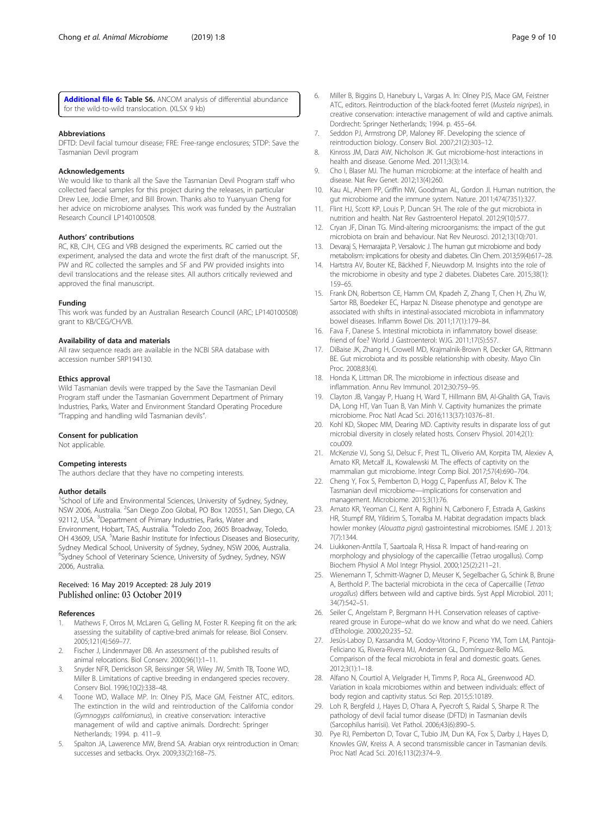<span id="page-8-0"></span>[Additional file 6:](https://doi.org/10.1186/s42523-019-0012-4) Table S6. ANCOM analysis of differential abundance for the wild-to-wild translocation. (XLSX 9 kb)

#### Abbreviations

DFTD: Devil facial tumour disease; FRE: Free-range enclosures; STDP: Save the Tasmanian Devil program

#### Acknowledgements

We would like to thank all the Save the Tasmanian Devil Program staff who collected faecal samples for this project during the releases, in particular Drew Lee, Jodie Elmer, and Bill Brown. Thanks also to Yuanyuan Cheng for her advice on microbiome analyses. This work was funded by the Australian Research Council LP140100508.

#### Authors' contributions

RC, KB, CJH, CEG and VRB designed the experiments. RC carried out the experiment, analysed the data and wrote the first draft of the manuscript. SF, PW and RC collected the samples and SF and PW provided insights into devil translocations and the release sites. All authors critically reviewed and approved the final manuscript.

#### Funding

This work was funded by an Australian Research Council (ARC; LP140100508) grant to KB/CEG/CH/VB.

#### Availability of data and materials

All raw sequence reads are available in the NCBI SRA database with accession number SRP194130.

#### Ethics approval

Wild Tasmanian devils were trapped by the Save the Tasmanian Devil Program staff under the Tasmanian Government Department of Primary Industries, Parks, Water and Environment Standard Operating Procedure "Trapping and handling wild Tasmanian devils".

#### Consent for publication

Not applicable.

#### Competing interests

The authors declare that they have no competing interests.

#### Author details

<sup>1</sup>School of Life and Environmental Sciences, University of Sydney, Sydney, NSW 2006, Australia. <sup>2</sup>San Diego Zoo Global, PO Box 120551, San Diego, CA 92112, USA. <sup>3</sup>Department of Primary Industries, Parks, Water and Environment, Hobart, TAS, Australia. <sup>4</sup>Toledo Zoo, 2605 Broadway, Toledo, OH 43609, USA. <sup>5</sup>Marie Bashir Institute for Infectious Diseases and Biosecurity, Sydney Medical School, University of Sydney, Sydney, NSW 2006, Australia. <sup>6</sup>Sydney School of Veterinary Science, University of Sydney, Sydney, NSW 2006, Australia.

#### Received: 16 May 2019 Accepted: 28 July 2019 Published online: 03 October 2019

#### References

- 1. Mathews F, Orros M, McLaren G, Gelling M, Foster R. Keeping fit on the ark: assessing the suitability of captive-bred animals for release. Biol Conserv. 2005;121(4):569–77.
- 2. Fischer J, Lindenmayer DB. An assessment of the published results of animal relocations. Biol Conserv. 2000;96(1):1–11.
- 3. Snyder NFR, Derrickson SR, Beissinger SR, Wiley JW, Smith TB, Toone WD, Miller B. Limitations of captive breeding in endangered species recovery. Conserv Biol. 1996;10(2):338–48.
- 4. Toone WD, Wallace MP. In: Olney PJS, Mace GM, Feistner ATC, editors. The extinction in the wild and reintroduction of the California condor (Gymnogyps californianus), in creative conservation: interactive management of wild and captive animals. Dordrecht: Springer Netherlands; 1994. p. 411–9.
- 5. Spalton JA, Lawerence MW, Brend SA. Arabian oryx reintroduction in Oman: successes and setbacks. Oryx. 2009;33(2):168–75.
- 6. Miller B, Biggins D, Hanebury L, Vargas A. In: Olney PJS, Mace GM, Feistner ATC, editors. Reintroduction of the black-footed ferret (Mustela nigripes), in creative conservation: interactive management of wild and captive animals. Dordrecht: Springer Netherlands; 1994. p. 455–64.
- 7. Seddon PJ, Armstrong DP, Maloney RF. Developing the science of reintroduction biology. Conserv Biol. 2007;21(2):303–12.
- 8. Kinross JM, Darzi AW, Nicholson JK. Gut microbiome-host interactions in health and disease. Genome Med. 2011;3(3):14.
- 9. Cho I, Blaser MJ. The human microbiome: at the interface of health and disease. Nat Rev Genet. 2012;13(4):260.
- 10. Kau AL, Ahern PP, Griffin NW, Goodman AL, Gordon JI. Human nutrition, the gut microbiome and the immune system. Nature. 2011;474(7351):327.
- 11. Flint HJ, Scott KP, Louis P, Duncan SH. The role of the gut microbiota in nutrition and health. Nat Rev Gastroenterol Hepatol. 2012;9(10):577.
- 12. Cryan JF, Dinan TG. Mind-altering microorganisms: the impact of the gut microbiota on brain and behaviour. Nat Rev Neurosci. 2012;13(10):701.
- 13. Devaraj S, Hemarajata P, Versalovic J. The human gut microbiome and body metabolism: implications for obesity and diabetes. Clin Chem. 2013;59(4):617–28.
- 14. Hartstra AV, Bouter KE, Bäckhed F, Nieuwdorp M. Insights into the role of the microbiome in obesity and type 2 diabetes. Diabetes Care. 2015;38(1): 159–65.
- 15. Frank DN, Robertson CE, Hamm CM, Kpadeh Z, Zhang T, Chen H, Zhu W, Sartor RB, Boedeker EC, Harpaz N. Disease phenotype and genotype are associated with shifts in intestinal-associated microbiota in inflammatory bowel diseases. Inflamm Bowel Dis. 2011;17(1):179–84.
- 16. Fava F, Danese S. Intestinal microbiota in inflammatory bowel disease: friend of foe? World J Gastroenterol: WJG. 2011;17(5):557.
- 17. DiBaise JK, Zhang H, Crowell MD, Krajmalnik-Brown R, Decker GA, Rittmann BE. Gut microbiota and its possible relationship with obesity. Mayo Clin Proc. 2008;83(4).
- 18. Honda K, Littman DR. The microbiome in infectious disease and inflammation. Annu Rev Immunol. 2012;30:759–95.
- 19. Clayton JB, Vangay P, Huang H, Ward T, Hillmann BM, Al-Ghalith GA, Travis DA, Long HT, Van Tuan B, Van Minh V. Captivity humanizes the primate microbiome. Proc Natl Acad Sci. 2016;113(37):10376–81.
- 20. Kohl KD, Skopec MM, Dearing MD. Captivity results in disparate loss of gut microbial diversity in closely related hosts. Conserv Physiol. 2014;2(1): cou009.
- 21. McKenzie VJ, Song SJ, Delsuc F, Prest TL, Oliverio AM, Korpita TM, Alexiev A, Amato KR, Metcalf JL, Kowalewski M. The effects of captivity on the mammalian gut microbiome. Integr Comp Biol. 2017;57(4):690–704.
- 22. Cheng Y, Fox S, Pemberton D, Hogg C, Papenfuss AT, Belov K. The Tasmanian devil microbiome—implications for conservation and management. Microbiome. 2015;3(1):76.
- 23. Amato KR, Yeoman CJ, Kent A, Righini N, Carbonero F, Estrada A, Gaskins HR, Stumpf RM, Yildirim S, Torralba M. Habitat degradation impacts black howler monkey (Alouatta pigra) gastrointestinal microbiomes. ISME J. 2013; 7(7):1344.
- 24. Liukkonen-Anttila T, Saartoala R, Hissa R. Impact of hand-rearing on morphology and physiology of the capercaillie (Tetrao urogallus). Comp Biochem Physiol A Mol Integr Physiol. 2000;125(2):211–21.
- 25. Wienemann T, Schmitt-Wagner D, Meuser K, Segelbacher G, Schink B, Brune A, Berthold P. The bacterial microbiota in the ceca of Capercaillie (Tetrao urogallus) differs between wild and captive birds. Syst Appl Microbiol. 2011; 34(7):542–51.
- 26. Seiler C, Angelstam P, Bergmann H-H. Conservation releases of captivereared grouse in Europe–what do we know and what do we need. Cahiers d'Ethologie. 2000;20:235–52.
- 27. Jesús-Laboy D, Kassandra M, Godoy-Vitorino F, Piceno YM, Tom LM, Pantoja-Feliciano IG, Rivera-Rivera MJ, Andersen GL, Domínguez-Bello MG. Comparison of the fecal microbiota in feral and domestic goats. Genes. 2012;3(1):1–18.
- 28. Alfano N, Courtiol A, Vielgrader H, Timms P, Roca AL, Greenwood AD. Variation in koala microbiomes within and between individuals: effect of body region and captivity status. Sci Rep. 2015;5:10189.
- 29. Loh R, Bergfeld J, Hayes D, O'hara A, Pyecroft S, Raidal S, Sharpe R. The pathology of devil facial tumor disease (DFTD) in Tasmanian devils (Sarcophilus harrisii). Vet Pathol. 2006;43(6):890–5.
- 30. Pye RJ, Pemberton D, Tovar C, Tubio JM, Dun KA, Fox S, Darby J, Hayes D, Knowles GW, Kreiss A. A second transmissible cancer in Tasmanian devils. Proc Natl Acad Sci. 2016;113(2):374–9.